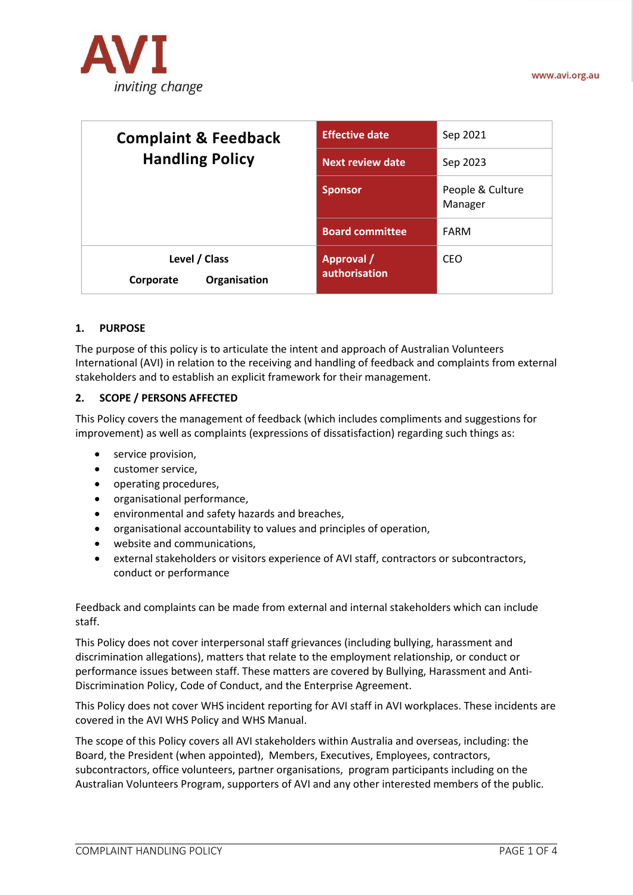

| <b>Complaint &amp; Feedback</b><br><b>Handling Policy</b> | <b>Effective date</b>       | Sep 2021                    |
|-----------------------------------------------------------|-----------------------------|-----------------------------|
|                                                           | <b>Next review date</b>     | Sep 2023                    |
|                                                           | <b>Sponsor</b>              | People & Culture<br>Manager |
|                                                           | <b>Board committee</b>      | FARM                        |
| Level / Class<br>Organisation<br>Corporate                | Approval /<br>authorisation | <b>CEO</b>                  |

#### **1. PURPOSE**

The purpose of this policy is to articulate the intent and approach of Australian Volunteers International (AVI) in relation to the receiving and handling of feedback and complaints from external stakeholders and to establish an explicit framework for their management.

#### **2. SCOPE / PERSONS AFFECTED**

This Policy covers the management of feedback (which includes compliments and suggestions for improvement) as well as complaints (expressions of dissatisfaction) regarding such things as:

- service provision,
- customer service,
- operating procedures,
- organisational performance,
- environmental and safety hazards and breaches,
- organisational accountability to values and principles of operation,
- website and communications,
- external stakeholders or visitors experience of AVI staff, contractors or subcontractors, conduct or performance

Feedback and complaints can be made from external and internal stakeholders which can include staff.

This Policy does not cover interpersonal staff grievances (including bullying, harassment and discrimination allegations), matters that relate to the employment relationship, or conduct or performance issues between staff. These matters are covered by Bullying, Harassment and Anti-Discrimination Policy, Code of Conduct, and the Enterprise Agreement.

This Policy does not cover WHS incident reporting for AVI staff in AVI workplaces. These incidents are covered in the AVI WHS Policy and WHS Manual.

The scope of this Policy covers all AVI stakeholders within Australia and overseas, including: the Board, the President (when appointed), Members, Executives, Employees, contractors, subcontractors, office volunteers, partner organisations, program participants including on the Australian Volunteers Program, supporters of AVI and any other interested members of the public.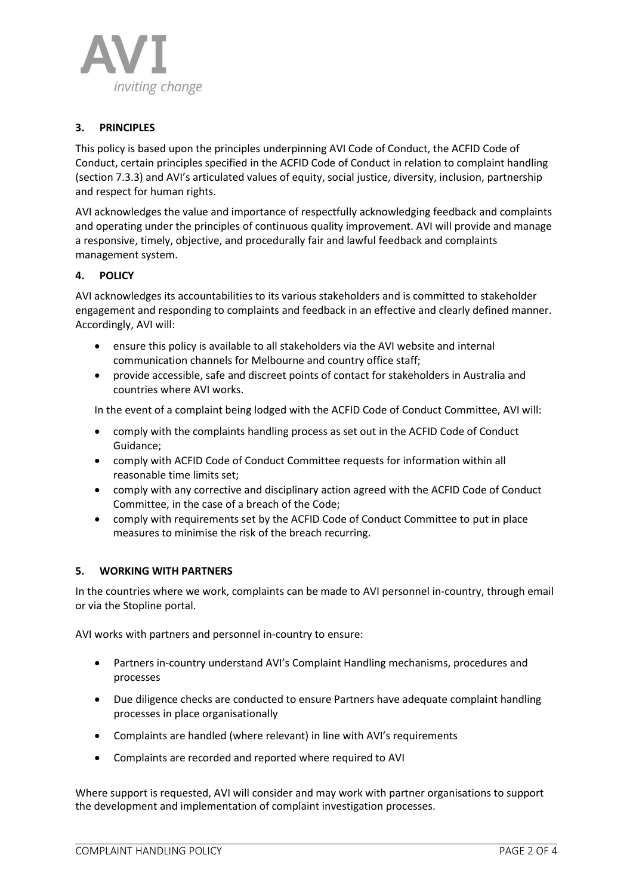

# **3. PRINCIPLES**

This policy is based upon the principles underpinning AVI Code of Conduct, the ACFID Code of Conduct, certain principles specified in the ACFID Code of Conduct in relation to complaint handling (section 7.3.3) and AVI's articulated values of equity, social justice, diversity, inclusion, partnership and respect for human rights.

AVI acknowledges the value and importance of respectfully acknowledging feedback and complaints and operating under the principles of continuous quality improvement. AVI will provide and manage a responsive, timely, objective, and procedurally fair and lawful feedback and complaints management system.

## **4. POLICY**

AVI acknowledges its accountabilities to its various stakeholders and is committed to stakeholder engagement and responding to complaints and feedback in an effective and clearly defined manner. Accordingly, AVI will:

- ensure this policy is available to all stakeholders via the AVI website and internal communication channels for Melbourne and country office staff;
- provide accessible, safe and discreet points of contact for stakeholders in Australia and countries where AVI works.

In the event of a complaint being lodged with the ACFID Code of Conduct Committee, AVI will:

- comply with the complaints handling process as set out in the ACFID Code of Conduct Guidance;
- comply with ACFID Code of Conduct Committee requests for information within all reasonable time limits set;
- comply with any corrective and disciplinary action agreed with the ACFID Code of Conduct Committee, in the case of a breach of the Code;
- comply with requirements set by the ACFID Code of Conduct Committee to put in place measures to minimise the risk of the breach recurring.

#### **5. WORKING WITH PARTNERS**

In the countries where we work, complaints can be made to AVI personnel in-country, through email or via the Stopline portal.

AVI works with partners and personnel in-country to ensure:

- Partners in-country understand AVI's Complaint Handling mechanisms, procedures and processes
- Due diligence checks are conducted to ensure Partners have adequate complaint handling processes in place organisationally
- Complaints are handled (where relevant) in line with AVI's requirements
- Complaints are recorded and reported where required to AVI

Where support is requested, AVI will consider and may work with partner organisations to support the development and implementation of complaint investigation processes.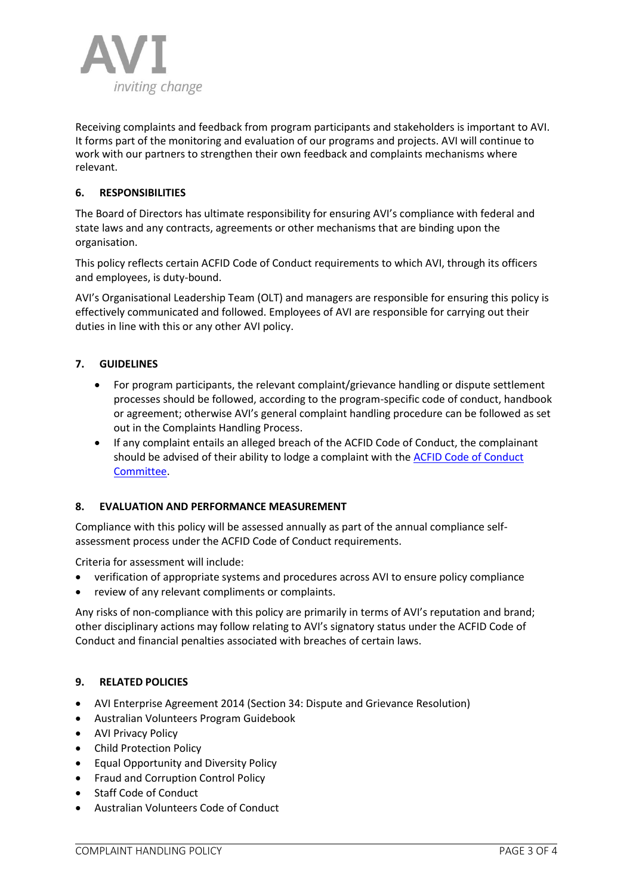

Receiving complaints and feedback from program participants and stakeholders is important to AVI. It forms part of the monitoring and evaluation of our programs and projects. AVI will continue to work with our partners to strengthen their own feedback and complaints mechanisms where relevant.

# **6. RESPONSIBILITIES**

The Board of Directors has ultimate responsibility for ensuring AVI's compliance with federal and state laws and any contracts, agreements or other mechanisms that are binding upon the organisation.

This policy reflects certain ACFID Code of Conduct requirements to which AVI, through its officers and employees, is duty-bound.

AVI's Organisational Leadership Team (OLT) and managers are responsible for ensuring this policy is effectively communicated and followed. Employees of AVI are responsible for carrying out their duties in line with this or any other AVI policy.

## **7. GUIDELINES**

- For program participants, the relevant complaint/grievance handling or dispute settlement processes should be followed, according to the program-specific code of conduct, handbook or agreement; otherwise AVI's general complaint handling procedure can be followed as set out in the Complaints Handling Process.
- If any complaint entails an alleged breach of the ACFID Code of Conduct, the complainant should be advised of their ability to lodge a complaint with the [ACFID Code of Conduct](https://acfid.asn.au/content/complaints)  [Committee.](https://acfid.asn.au/content/complaints)

#### **8. EVALUATION AND PERFORMANCE MEASUREMENT**

Compliance with this policy will be assessed annually as part of the annual compliance selfassessment process under the ACFID Code of Conduct requirements.

Criteria for assessment will include:

- verification of appropriate systems and procedures across AVI to ensure policy compliance
- review of any relevant compliments or complaints.

Any risks of non-compliance with this policy are primarily in terms of AVI's reputation and brand; other disciplinary actions may follow relating to AVI's signatory status under the ACFID Code of Conduct and financial penalties associated with breaches of certain laws.

#### **9. RELATED POLICIES**

- AVI Enterprise Agreement 2014 (Section 34: Dispute and Grievance Resolution)
- Australian Volunteers Program Guidebook
- AVI Privacy Policy
- Child Protection Policy
- Equal Opportunity and Diversity Policy
- Fraud and Corruption Control Policy
- Staff Code of Conduct
- Australian Volunteers Code of Conduct